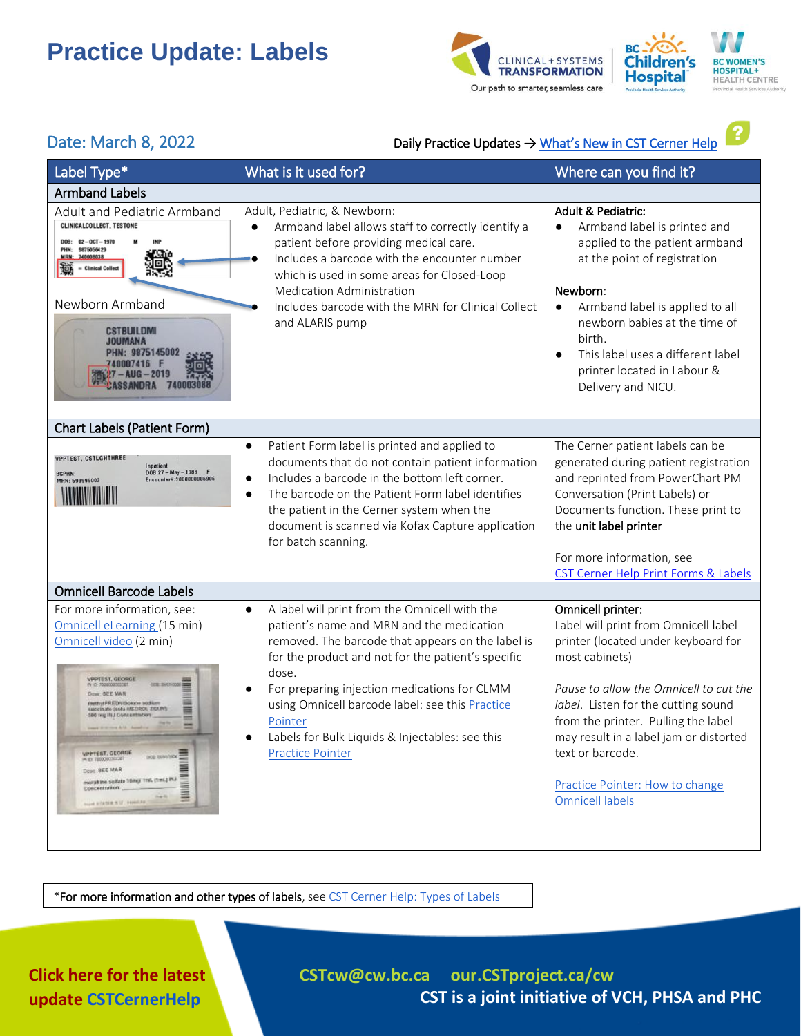



?

### Date: March 8, 2022 Daily Practice Updates → What's [New in CST Cerner Help](http://cstcernerhelp.healthcarebc.ca/#t=Whats_New%2FWhat_s_New.htm&rhsearch=favourites%20printer&rhsyns=%20)

| Label Type*                                                                                                                                                                                                                                                                                                                                                                                                                               | What is it used for?                                                                                                                                                                                                                                                                                                                                                                                                                 | Where can you find it?                                                                                                                                                                                                                                                                                                                                                |  |  |
|-------------------------------------------------------------------------------------------------------------------------------------------------------------------------------------------------------------------------------------------------------------------------------------------------------------------------------------------------------------------------------------------------------------------------------------------|--------------------------------------------------------------------------------------------------------------------------------------------------------------------------------------------------------------------------------------------------------------------------------------------------------------------------------------------------------------------------------------------------------------------------------------|-----------------------------------------------------------------------------------------------------------------------------------------------------------------------------------------------------------------------------------------------------------------------------------------------------------------------------------------------------------------------|--|--|
| <b>Armband Labels</b>                                                                                                                                                                                                                                                                                                                                                                                                                     |                                                                                                                                                                                                                                                                                                                                                                                                                                      |                                                                                                                                                                                                                                                                                                                                                                       |  |  |
| <b>Adult and Pediatric Armband</b><br>CLINICALCOLLECT, TESTONE<br>$DOB: 02-0CT-1970$<br>PHN: 9875056429<br>MRN: 740008038<br><b>Clinical Collect</b><br>洄<br>Newborn Armband<br><b>CSTBUILDMI</b><br>JOUMANA<br>PHN: 9875145002<br>740007416<br>?7 – AUG – 2019                                                                                                                                                                           | Adult, Pediatric, & Newborn:<br>Armband label allows staff to correctly identify a<br>patient before providing medical care.<br>Includes a barcode with the encounter number<br>which is used in some areas for Closed-Loop<br><b>Medication Administration</b><br>Includes barcode with the MRN for Clinical Collect<br>and ALARIS pump                                                                                             | <b>Adult &amp; Pediatric:</b><br>Armband label is printed and<br>$\bullet$<br>applied to the patient armband<br>at the point of registration<br>Newborn:<br>Armband label is applied to all<br>$\bullet$<br>newborn babies at the time of<br>birth.<br>This label uses a different label<br>$\bullet$<br>printer located in Labour &<br>Delivery and NICU.            |  |  |
| Chart Labels (Patient Form)                                                                                                                                                                                                                                                                                                                                                                                                               |                                                                                                                                                                                                                                                                                                                                                                                                                                      |                                                                                                                                                                                                                                                                                                                                                                       |  |  |
| <b>VPPTEST, CSTLGHTHREE</b><br>$DOB:27 - May - 1988 F$<br><b>BCPHN:</b><br>Encounter#:2000000006906<br>MRN: 599999003<br><b>The Common Service</b>                                                                                                                                                                                                                                                                                        | Patient Form label is printed and applied to<br>$\bullet$<br>documents that do not contain patient information<br>Includes a barcode in the bottom left corner.<br>$\bullet$<br>The barcode on the Patient Form label identifies<br>$\bullet$<br>the patient in the Cerner system when the<br>document is scanned via Kofax Capture application<br>for batch scanning.                                                               | The Cerner patient labels can be<br>generated during patient registration<br>and reprinted from PowerChart PM<br>Conversation (Print Labels) or<br>Documents function. These print to<br>the unit label printer<br>For more information, see<br>CST Cerner Help Print Forms & Labels                                                                                  |  |  |
| <b>Omnicell Barcode Labels</b>                                                                                                                                                                                                                                                                                                                                                                                                            |                                                                                                                                                                                                                                                                                                                                                                                                                                      |                                                                                                                                                                                                                                                                                                                                                                       |  |  |
| For more information, see:<br>Omnicell eLearning (15 min)<br>Omnicell video (2 min)<br><b>PPTEST, GEORGE</b><br><b><i>DESE SHOON</i></b><br>c: 80 E VA N<br>ettrytPREDNIBolone sodium<br>accinate (sola AIEI)ROI, EGUIV)<br>6 year 1811 Concentration<br><b>VPPTEST, GEORGE</b><br><b>DOG BANYOU COM</b><br>A EL TERRITORIA<br>Done SEE MAR<br>meratine selfate temp frak (fink) INJ<br>DOECETTERING<br><b>Suite ETATER N.U. FOREFRES</b> | A label will print from the Omnicell with the<br>$\bullet$<br>patient's name and MRN and the medication<br>removed. The barcode that appears on the label is<br>for the product and not for the patient's specific<br>dose.<br>For preparing injection medications for CLMM<br>$\bullet$<br>using Omnicell barcode label: see this Practice<br>Pointer<br>Labels for Bulk Liquids & Injectables: see this<br><b>Practice Pointer</b> | Omnicell printer:<br>Label will print from Omnicell label<br>printer (located under keyboard for<br>most cabinets)<br>Pause to allow the Omnicell to cut the<br>label. Listen for the cutting sound<br>from the printer. Pulling the label<br>may result in a label jam or distorted<br>text or barcode.<br>Practice Pointer: How to change<br><b>Omnicell labels</b> |  |  |

\*For more information and other types of labels, se[e CST Cerner Help: Types of Labels](http://cstcernerhelp.healthcarebc.ca/#t=Applications%2FRegistration_Apps%2FRun_Documents%2FTypes_of_Labels.htm&rhsearch=print%20labels&rhsyns=%20)

### **Click here for the latest update [CSTCernerHelp](http://cstcernerhelp.healthcarebc.ca/#t=Whats_New%2FWhat_s_New.htm&rhsearch=favourites%20printer&rhsyns=%20)**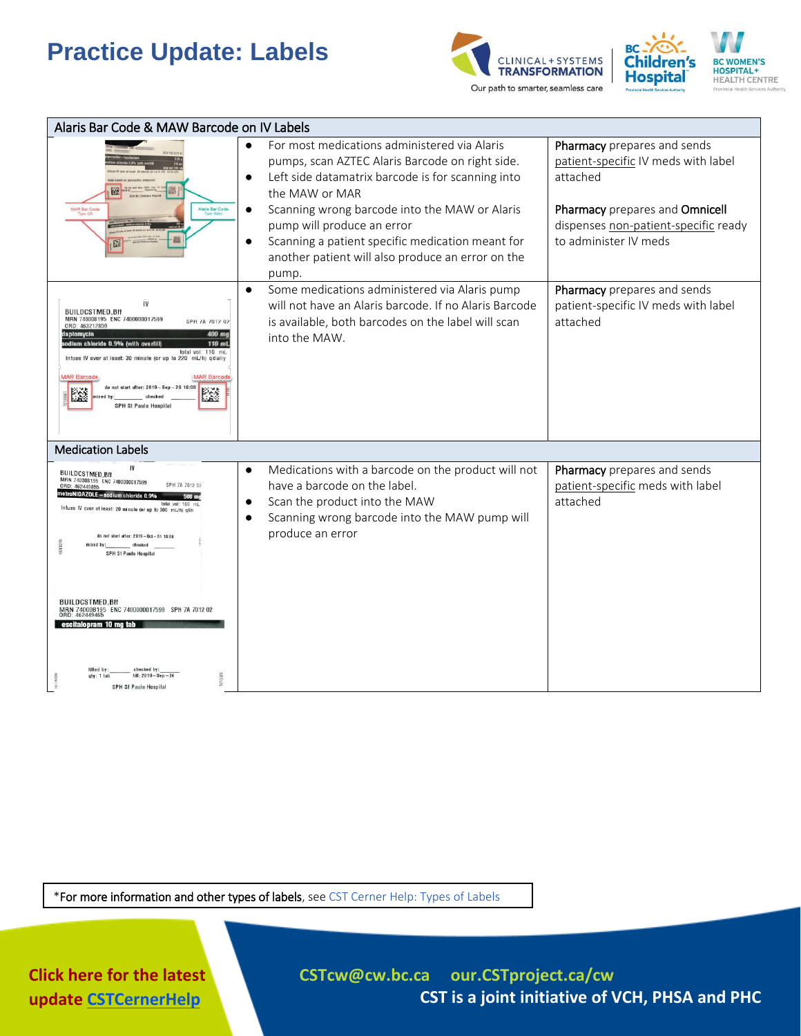



| Alaris Bar Code & MAW Barcode on IV Labels                                                                                                                                                                                                                                                                                                                                                      |                                                                                                                                                                                                                                                                                                                                                                                                   |                                                                                                                                                                                   |  |  |
|-------------------------------------------------------------------------------------------------------------------------------------------------------------------------------------------------------------------------------------------------------------------------------------------------------------------------------------------------------------------------------------------------|---------------------------------------------------------------------------------------------------------------------------------------------------------------------------------------------------------------------------------------------------------------------------------------------------------------------------------------------------------------------------------------------------|-----------------------------------------------------------------------------------------------------------------------------------------------------------------------------------|--|--|
| 隧<br>邀<br>Alaris Bar Code<br><b>MAR Bar Code</b>                                                                                                                                                                                                                                                                                                                                                | For most medications administered via Alaris<br>pumps, scan AZTEC Alaris Barcode on right side.<br>Left side datamatrix barcode is for scanning into<br>$\bullet$<br>the MAW or MAR<br>Scanning wrong barcode into the MAW or Alaris<br>$\bullet$<br>pump will produce an error<br>Scanning a patient specific medication meant for<br>another patient will also produce an error on the<br>pump. | Pharmacy prepares and sends<br>patient-specific IV meds with label<br>attached<br>Pharmacy prepares and Omnicell<br>dispenses non-patient-specific ready<br>to administer IV meds |  |  |
| <b>BUILDCSTMED.Bff</b><br>MRN 740008195 ENC 7400000017599<br>SPH 7A 7012 02<br>ORD: 463212859<br>400 mg<br>daptomycin<br>odium chloride 0.9% (with overfill)<br>$110$ m<br>total vol: 110 mL<br>Infuse IV over at least: 30 minute (or up to 220 mL/h) qdaily<br><b>MAR Barcode</b><br><b>MAR Barcode</b><br>after: 2019 - Sep - 28 18:00<br>毉<br>53<br>checked<br><b>SPH St Pauls Hospital</b> | Some medications administered via Alaris pump<br>$\bullet$<br>will not have an Alaris barcode. If no Alaris Barcode<br>is available, both barcodes on the label will scan<br>into the MAW.                                                                                                                                                                                                        | Pharmacy prepares and sends<br>patient-specific IV meds with label<br>attached                                                                                                    |  |  |
| <b>Medication Labels</b>                                                                                                                                                                                                                                                                                                                                                                        |                                                                                                                                                                                                                                                                                                                                                                                                   |                                                                                                                                                                                   |  |  |
| IV<br><b>BUILDCSTMED, Bff</b><br>MRN 740008195 ENC 7400000017599<br>ORD: 462449855<br>netroNIDAZOLE—sodium chloride 0.99<br>Infuse IV over at least: 20 minute (or<br>300 mL/h) n8<br>do not start after: 2019-0ct-01 18:00<br>checked<br><b>SPH St Pauls Hospital</b>                                                                                                                          | Medications with a barcode on the product will not<br>$\bullet$<br>have a barcode on the label.<br>Scan the product into the MAW<br>Scanning wrong barcode into the MAW pump will<br>$\bullet$<br>produce an error                                                                                                                                                                                | Pharmacy prepares and sends<br>patient-specific meds with label<br>attached                                                                                                       |  |  |
| <b>BUILDCSTMED.Bff</b><br>MRN 740008195 ENC 7400000017599 SPH 7A 7012 02<br>ORD: 462449465<br>escitalopram 10 mg tab<br>checked by<br>filled by<br>neored<br>fill: $2019 - Sep - 24$                                                                                                                                                                                                            |                                                                                                                                                                                                                                                                                                                                                                                                   |                                                                                                                                                                                   |  |  |
| SPH St Pauls Hospital                                                                                                                                                                                                                                                                                                                                                                           |                                                                                                                                                                                                                                                                                                                                                                                                   |                                                                                                                                                                                   |  |  |

\*For more information and other types of labels, se[e CST Cerner Help: Types of Labels](http://cstcernerhelp.healthcarebc.ca/#t=Applications%2FRegistration_Apps%2FRun_Documents%2FTypes_of_Labels.htm&rhsearch=print%20labels&rhsyns=%20)

**Click here for the latest update [CSTCernerHelp](http://cstcernerhelp.healthcarebc.ca/#t=Whats_New%2FWhat_s_New.htm&rhsearch=favourites%20printer&rhsyns=%20)**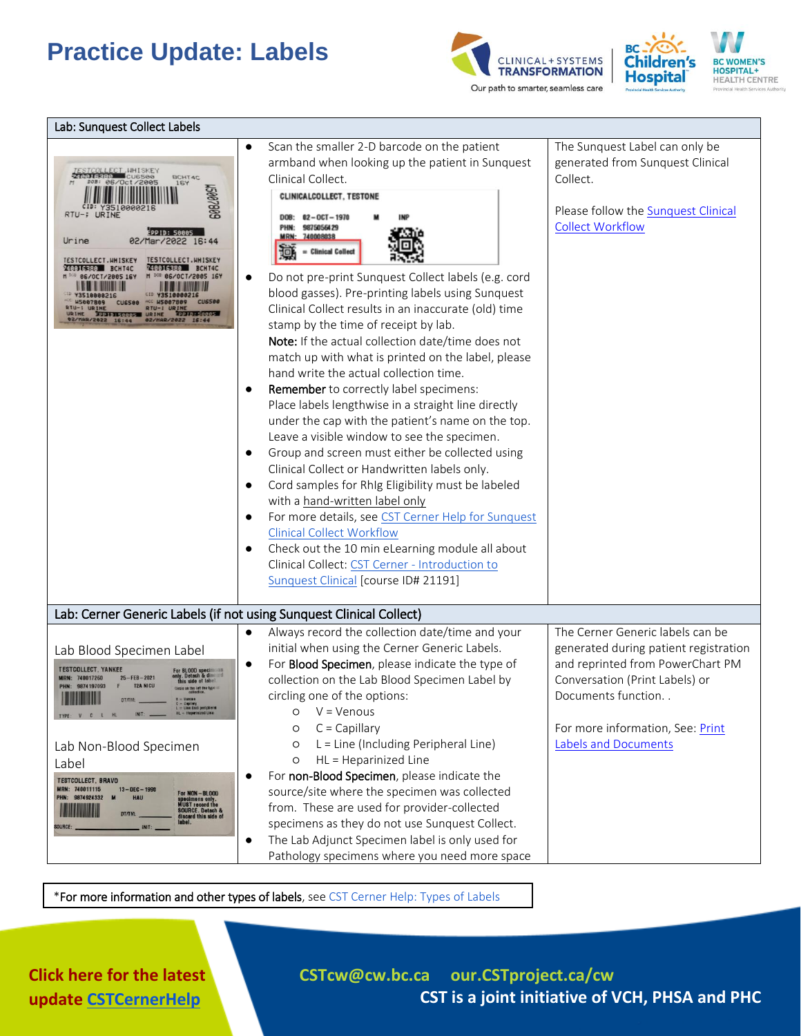



| Lab: Sunquest Collect Labels                                                                                                                                                                                                                                                                                                                                                                                                                                                                                                    |                                                                                                                                                                                                                                                                                                                                                                                                                                                                                                                                                                                                                                                                                                                                                                                                                                                                                                                                                                                                                                                                                                                                                                                                                                                                                      |                                                                                                                                                                                                                                   |  |  |
|---------------------------------------------------------------------------------------------------------------------------------------------------------------------------------------------------------------------------------------------------------------------------------------------------------------------------------------------------------------------------------------------------------------------------------------------------------------------------------------------------------------------------------|--------------------------------------------------------------------------------------------------------------------------------------------------------------------------------------------------------------------------------------------------------------------------------------------------------------------------------------------------------------------------------------------------------------------------------------------------------------------------------------------------------------------------------------------------------------------------------------------------------------------------------------------------------------------------------------------------------------------------------------------------------------------------------------------------------------------------------------------------------------------------------------------------------------------------------------------------------------------------------------------------------------------------------------------------------------------------------------------------------------------------------------------------------------------------------------------------------------------------------------------------------------------------------------|-----------------------------------------------------------------------------------------------------------------------------------------------------------------------------------------------------------------------------------|--|--|
| TESTCOLLECT UHISKEY<br><b>BCHT4C</b><br>DOB: 06/Oct/2005<br><b>167</b><br><b>G0820091</b><br>RTU-; URINE<br><b>EPPID: 50005</b><br>Urine<br>02/Mar/2022 16:44<br>TESTCOLLECT. HHISKEY<br><b>TESTCOLLECT.HHISKEY</b><br>740016380 BCHT4C<br><b>240016380 BCHT4C</b><br>N DOB 06/0CT/2005 16Y<br>06/0CT/2005 16Y<br>10 Y3510000216<br>CID Y3510000216<br><b>ACC US887889</b><br>CU6500<br><b>US887889</b><br><b>CU6588</b><br><b>RTU-: URINE</b><br>SRINE 30011150005 URINE 30010540005                                           | Scan the smaller 2-D barcode on the patient<br>armband when looking up the patient in Sunquest<br>Clinical Collect.<br>CLINICALCOLLECT, TESTONE<br>DOB:<br>$02 - 0C$ T $- 1970$<br>9875056429<br>PHN:<br><b>MRN:</b><br>740008038<br>$=$ Clinical Collect<br>Do not pre-print Sunquest Collect labels (e.g. cord<br>blood gasses). Pre-printing labels using Sunquest<br>Clinical Collect results in an inaccurate (old) time<br>stamp by the time of receipt by lab.<br>Note: If the actual collection date/time does not<br>match up with what is printed on the label, please<br>hand write the actual collection time.<br><b>Remember</b> to correctly label specimens:<br>$\bullet$<br>Place labels lengthwise in a straight line directly<br>under the cap with the patient's name on the top.<br>Leave a visible window to see the specimen.<br>Group and screen must either be collected using<br>Clinical Collect or Handwritten labels only.<br>Cord samples for RhIg Eligibility must be labeled<br>with a hand-written label only<br>For more details, see CST Cerner Help for Sunquest<br><b>Clinical Collect Workflow</b><br>Check out the 10 min eLearning module all about<br>Clinical Collect: CST Cerner - Introduction to<br>Sunquest Clinical [course ID# 21191] | The Sunquest Label can only be<br>generated from Sunquest Clinical<br>Collect.<br>Please follow the Sunquest Clinical<br><b>Collect Workflow</b>                                                                                  |  |  |
| Lab: Cerner Generic Labels (if not using Sunquest Clinical Collect)                                                                                                                                                                                                                                                                                                                                                                                                                                                             |                                                                                                                                                                                                                                                                                                                                                                                                                                                                                                                                                                                                                                                                                                                                                                                                                                                                                                                                                                                                                                                                                                                                                                                                                                                                                      |                                                                                                                                                                                                                                   |  |  |
| Lab Blood Specimen Label<br><b>TESTCOLLECT, YANKEE</b><br>Detach & dis<br><b>MRN: 740017260</b><br>$25 - FEB - 2021$<br><b>T2A NICU</b><br>9874197093<br>PHN:<br><b>DT/TM:</b><br>$L =$ Line God peripherm<br><b>HL = Heparinized Line</b><br>Lab Non-Blood Specimen<br>Label<br><b>TESTCOLLECT, BRAVO</b><br>MRN: 740011115<br>$13 - DEC - 1990$<br><b>For NON-BLOOD</b><br>PHN: 9874924332<br><b>HAU</b><br>specimens only.<br>MUST record the<br>SOURCE. Detach &<br>discard this side of<br>label.<br><b>DT/TM</b><br>INIT: | Always record the collection date/time and your<br>$\bullet$<br>initial when using the Cerner Generic Labels.<br>For Blood Specimen, please indicate the type of<br>$\bullet$<br>collection on the Lab Blood Specimen Label by<br>circling one of the options:<br>$V = V$ enous<br>O<br>$C = Capillary$<br>O<br>L = Line (Including Peripheral Line)<br>O<br>HL = Heparinized Line<br>$\circ$<br>For non-Blood Specimen, please indicate the<br>$\bullet$<br>source/site where the specimen was collected<br>from. These are used for provider-collected<br>specimens as they do not use Sunquest Collect.<br>The Lab Adjunct Specimen label is only used for<br>$\bullet$<br>Pathology specimens where you need more space                                                                                                                                                                                                                                                                                                                                                                                                                                                                                                                                                          | The Cerner Generic labels can be<br>generated during patient registration<br>and reprinted from PowerChart PM<br>Conversation (Print Labels) or<br>Documents function<br>For more information, See: Print<br>Labels and Documents |  |  |

\*For more information and other types of labels, se[e CST Cerner Help: Types of Labels](http://cstcernerhelp.healthcarebc.ca/#t=Applications%2FRegistration_Apps%2FRun_Documents%2FTypes_of_Labels.htm&rhsearch=print%20labels&rhsyns=%20)

**Click here for the latest update [CSTCernerHelp](http://cstcernerhelp.healthcarebc.ca/#t=Whats_New%2FWhat_s_New.htm&rhsearch=favourites%20printer&rhsyns=%20)**